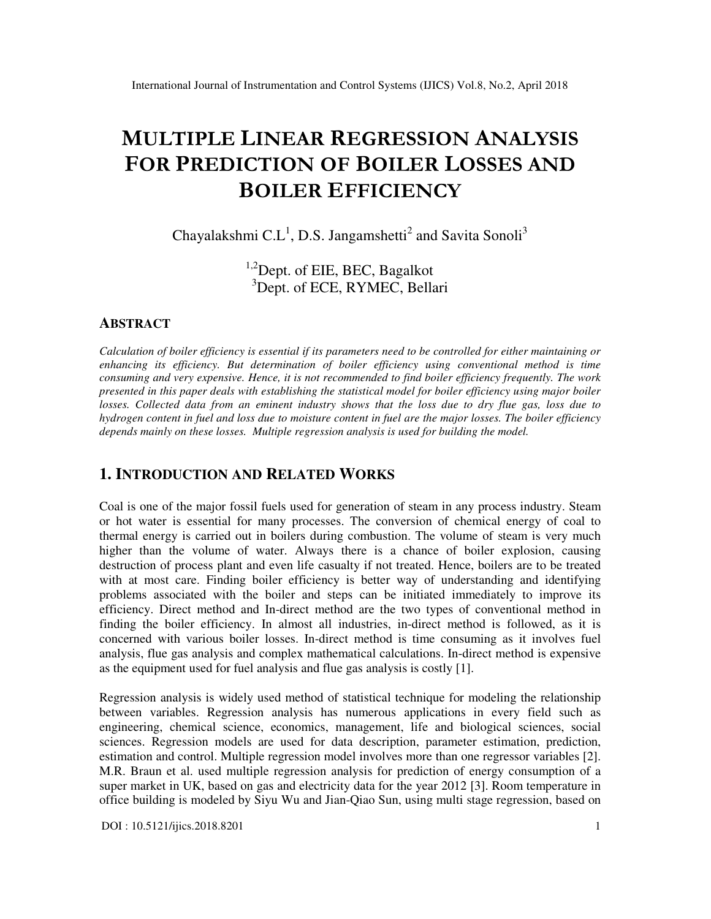# **MULTIPLE LINEAR REGRESSION ANALYSIS FOR PREDICTION OF BOILER LOSSES AND BOILER EFFICIENCY**

Chayalakshmi C.L<sup>1</sup>, D.S. Jangamshetti<sup>2</sup> and Savita Sonoli<sup>3</sup>

<sup>1,2</sup>Dept. of EIE, BEC, Bagalkot <sup>3</sup>Dept. of ECE, RYMEC, Bellari

#### **ABSTRACT**

*Calculation of boiler efficiency is essential if its parameters need to be controlled for either maintaining or enhancing its efficiency. But determination of boiler efficiency using conventional method is time consuming and very expensive. Hence, it is not recommended to find boiler efficiency frequently. The work presented in this paper deals with establishing the statistical model for boiler efficiency using major boiler losses. Collected data from an eminent industry shows that the loss due to dry flue gas, loss due to hydrogen content in fuel and loss due to moisture content in fuel are the major losses. The boiler efficiency depends mainly on these losses. Multiple regression analysis is used for building the model.* 

# **1. INTRODUCTION AND RELATED WORKS**

Coal is one of the major fossil fuels used for generation of steam in any process industry. Steam or hot water is essential for many processes. The conversion of chemical energy of coal to thermal energy is carried out in boilers during combustion. The volume of steam is very much higher than the volume of water. Always there is a chance of boiler explosion, causing destruction of process plant and even life casualty if not treated. Hence, boilers are to be treated with at most care. Finding boiler efficiency is better way of understanding and identifying problems associated with the boiler and steps can be initiated immediately to improve its efficiency. Direct method and In-direct method are the two types of conventional method in finding the boiler efficiency. In almost all industries, in-direct method is followed, as it is concerned with various boiler losses. In-direct method is time consuming as it involves fuel analysis, flue gas analysis and complex mathematical calculations. In-direct method is expensive as the equipment used for fuel analysis and flue gas analysis is costly [1].

Regression analysis is widely used method of statistical technique for modeling the relationship between variables. Regression analysis has numerous applications in every field such as engineering, chemical science, economics, management, life and biological sciences, social sciences. Regression models are used for data description, parameter estimation, prediction, estimation and control. Multiple regression model involves more than one regressor variables [2]. M.R. Braun et al. used multiple regression analysis for prediction of energy consumption of a super market in UK, based on gas and electricity data for the year 2012 [3]. Room temperature in office building is modeled by Siyu Wu and Jian-Qiao Sun, using multi stage regression, based on

DOI : 10.5121/ijics.2018.8201 1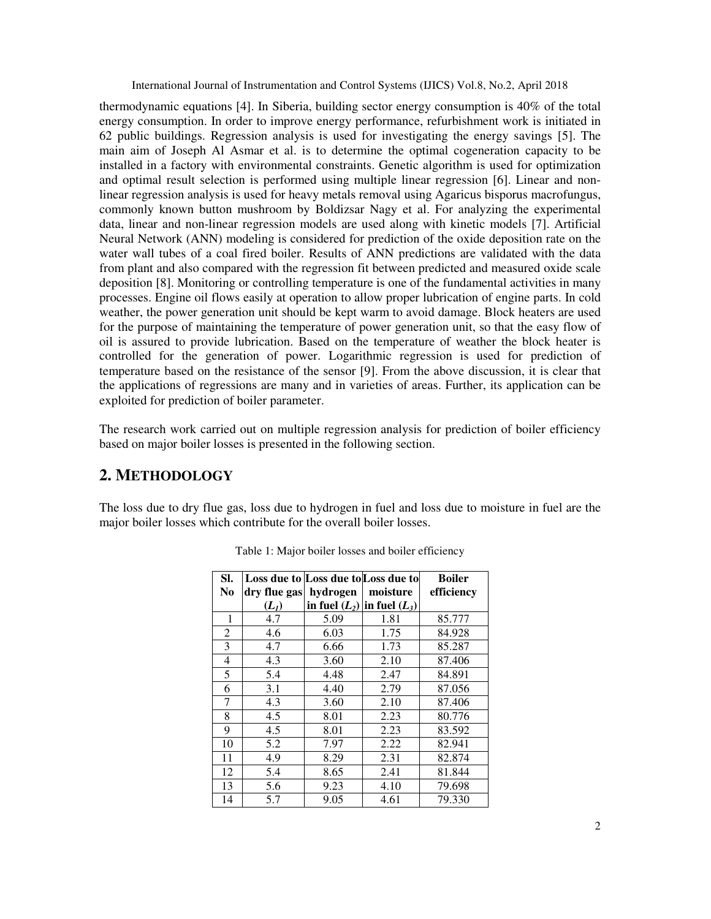thermodynamic equations [4]. In Siberia, building sector energy consumption is 40% of the total energy consumption. In order to improve energy performance, refurbishment work is initiated in 62 public buildings. Regression analysis is used for investigating the energy savings [5]. The main aim of Joseph Al Asmar et al. is to determine the optimal cogeneration capacity to be installed in a factory with environmental constraints. Genetic algorithm is used for optimization and optimal result selection is performed using multiple linear regression [6]. Linear and nonlinear regression analysis is used for heavy metals removal using Agaricus bisporus macrofungus, commonly known button mushroom by Boldizsar Nagy et al. For analyzing the experimental data, linear and non-linear regression models are used along with kinetic models [7]. Artificial Neural Network (ANN) modeling is considered for prediction of the oxide deposition rate on the water wall tubes of a coal fired boiler. Results of ANN predictions are validated with the data from plant and also compared with the regression fit between predicted and measured oxide scale deposition [8]. Monitoring or controlling temperature is one of the fundamental activities in many processes. Engine oil flows easily at operation to allow proper lubrication of engine parts. In cold weather, the power generation unit should be kept warm to avoid damage. Block heaters are used for the purpose of maintaining the temperature of power generation unit, so that the easy flow of oil is assured to provide lubrication. Based on the temperature of weather the block heater is controlled for the generation of power. Logarithmic regression is used for prediction of temperature based on the resistance of the sensor [9]. From the above discussion, it is clear that the applications of regressions are many and in varieties of areas. Further, its application can be exploited for prediction of boiler parameter.

The research work carried out on multiple regression analysis for prediction of boiler efficiency based on major boiler losses is presented in the following section.

# **2. METHODOLOGY**

The loss due to dry flue gas, loss due to hydrogen in fuel and loss due to moisture in fuel are the major boiler losses which contribute for the overall boiler losses.

| SI.            | Loss due to Loss due to Loss due to |                                 |          | <b>Boiler</b> |
|----------------|-------------------------------------|---------------------------------|----------|---------------|
| N <sub>0</sub> | dry flue gas                        | hydrogen                        | moisture | efficiency    |
|                | $(L_1)$                             | in fuel $(L_2)$ in fuel $(L_3)$ |          |               |
| 1              | 4.7                                 | 5.09                            | 1.81     | 85.777        |
| 2              | 4.6                                 | 6.03                            | 1.75     | 84.928        |
| 3              | 4.7                                 | 6.66                            | 1.73     | 85.287        |
| 4              | 4.3                                 | 3.60                            | 2.10     | 87.406        |
| 5              | 5.4                                 | 4.48                            | 2.47     | 84.891        |
| 6              | 3.1                                 | 4.40                            | 2.79     | 87.056        |
| 7              | 4.3                                 | 3.60                            | 2.10     | 87.406        |
| 8              | 4.5                                 | 8.01                            | 2.23     | 80.776        |
| 9              | 4.5                                 | 8.01                            | 2.23     | 83.592        |
| 10             | 5.2                                 | 7.97                            | 2.22     | 82.941        |
| 11             | 4.9                                 | 8.29                            | 2.31     | 82.874        |
| 12             | 5.4                                 | 8.65                            | 2.41     | 81.844        |
| 13             | 5.6                                 | 9.23                            | 4.10     | 79.698        |
| 14             | 5.7                                 | 9.05                            | 4.61     | 79.330        |

Table 1: Major boiler losses and boiler efficiency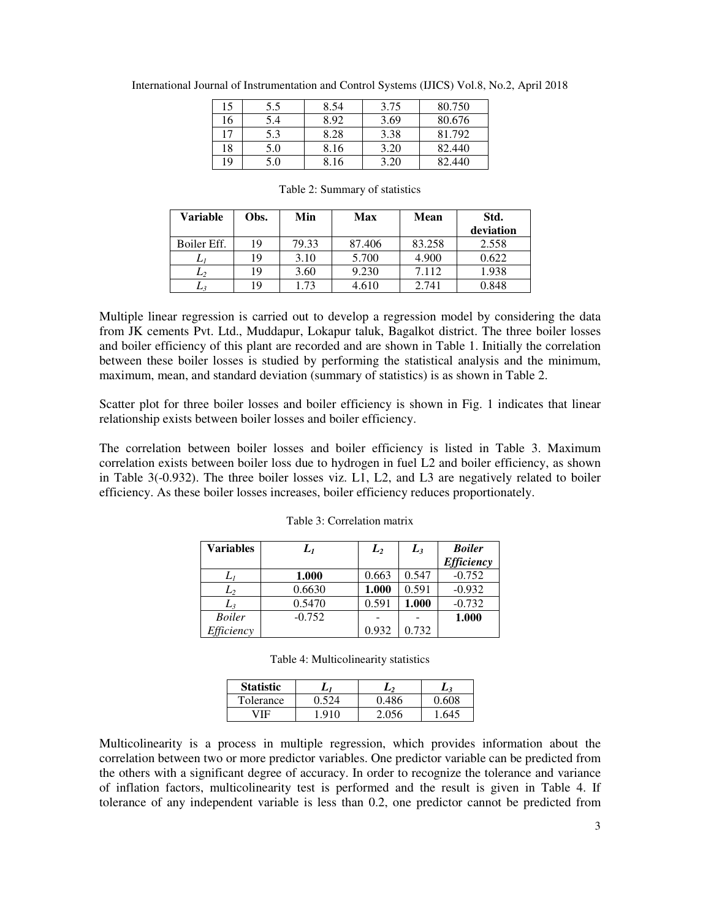| 15 | 5.5 | 8.54 | 3.75 | 80.750 |
|----|-----|------|------|--------|
| 16 | 5.4 | 8.92 | 3.69 | 80.676 |
| 17 | 5.3 | 8.28 | 3.38 | 81.792 |
| 18 | 5.0 | 8.16 | 3.20 | 82.440 |
| 19 | 5.0 | 8.16 | 3.20 | 82.440 |

International Journal of Instrumentation and Control Systems (IJICS) Vol.8, No.2, April 2018

| Variable       | Obs. | Min   | Max    | Mean   | Std.      |
|----------------|------|-------|--------|--------|-----------|
|                |      |       |        |        | deviation |
| Boiler Eff.    | 19   | 79.33 | 87.406 | 83.258 | 2.558     |
| L <sub>1</sub> | 19   | 3.10  | 5.700  | 4.900  | 0.622     |
| $L_2$          | 19   | 3.60  | 9.230  | 7.112  | 1.938     |
| L3             | 19   | .73   | 4.610  | 2.741  | 0.848     |

Table 2: Summary of statistics

Multiple linear regression is carried out to develop a regression model by considering the data from JK cements Pvt. Ltd., Muddapur, Lokapur taluk, Bagalkot district. The three boiler losses and boiler efficiency of this plant are recorded and are shown in Table 1. Initially the correlation between these boiler losses is studied by performing the statistical analysis and the minimum, maximum, mean, and standard deviation (summary of statistics) is as shown in Table 2.

Scatter plot for three boiler losses and boiler efficiency is shown in Fig. 1 indicates that linear relationship exists between boiler losses and boiler efficiency.

The correlation between boiler losses and boiler efficiency is listed in Table 3. Maximum correlation exists between boiler loss due to hydrogen in fuel L2 and boiler efficiency, as shown in Table 3(-0.932). The three boiler losses viz. L1, L2, and L3 are negatively related to boiler efficiency. As these boiler losses increases, boiler efficiency reduces proportionately.

| <b>Variables</b> | $L_1$    | $L_{2}$ | $L_3$ | <b>Boiler</b>     |
|------------------|----------|---------|-------|-------------------|
|                  |          |         |       | <b>Efficiency</b> |
| $L_1$            | 1.000    | 0.663   | 0.547 | $-0.752$          |
| L,               | 0.6630   | 1.000   | 0.591 | $-0.932$          |
| L <sub>3</sub>   | 0.5470   | 0.591   | 1.000 | $-0.732$          |
| <b>Boiler</b>    | $-0.752$ |         |       | 1.000             |
| Efficiency       |          | 0.932   | 0.732 |                   |

Table 3: Correlation matrix

Table 4: Multicolinearity statistics

| <b>Statistic</b> | L1    | L۶    | L3    |
|------------------|-------|-------|-------|
| Tolerance        | 0.524 | 0.486 | 0.608 |
|                  | 910   | 2.056 | .645  |

Multicolinearity is a process in multiple regression, which provides information about the correlation between two or more predictor variables. One predictor variable can be predicted from the others with a significant degree of accuracy. In order to recognize the tolerance and variance of inflation factors, multicolinearity test is performed and the result is given in Table 4. If tolerance of any independent variable is less than 0.2, one predictor cannot be predicted from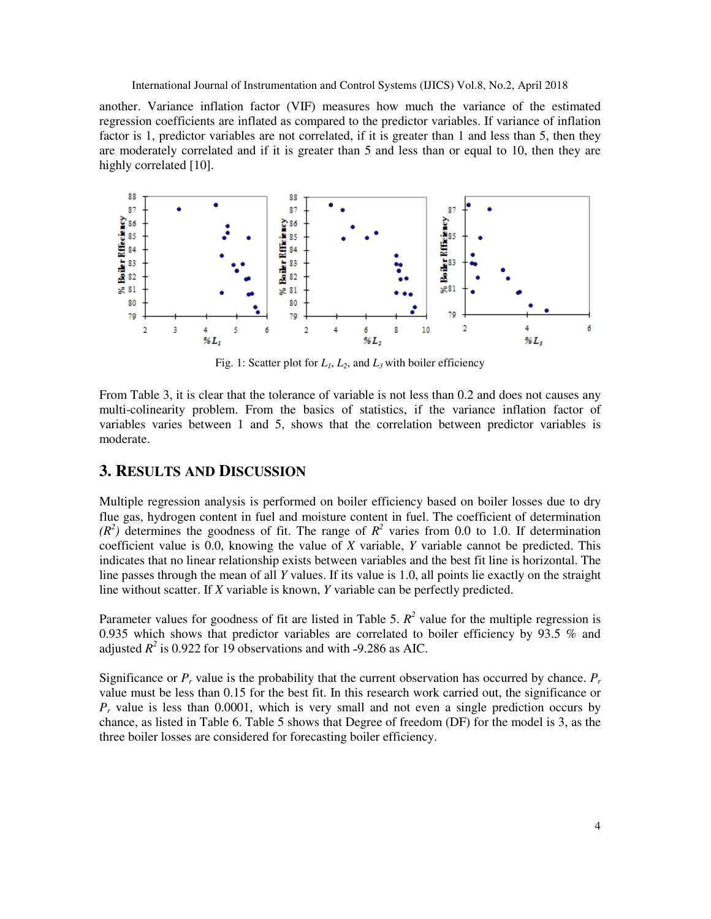another. Variance inflation factor (VIF) measures how much the variance of the estimated regression coefficients are inflated as compared to the predictor variables. If variance of inflation factor is 1, predictor variables are not correlated, if it is greater than 1 and less than 5, then they are moderately correlated and if it is greater than 5 and less than or equal to 10, then they are highly correlated [10].



Fig. 1: Scatter plot for  $L_1$ ,  $L_2$ , and  $L_3$  with boiler efficiency

From Table 3, it is clear that the tolerance of variable is not less than 0.2 and does not causes any multi-colinearity problem. From the basics of statistics, if the variance inflation factor of variables varies between 1 and 5, shows that the correlation between predictor variables is moderate.

## **3. RESULTS AND DISCUSSION**

Multiple regression analysis is performed on boiler efficiency based on boiler losses due to dry flue gas, hydrogen content in fuel and moisture content in fuel. The coefficient of determination  $(R<sup>2</sup>)$  determines the goodness of fit. The range of  $R<sup>2</sup>$  varies from 0.0 to 1.0. If determination coefficient value is 0.0, knowing the value of *X* variable, *Y* variable cannot be predicted. This indicates that no linear relationship exists between variables and the best fit line is horizontal. The line passes through the mean of all *Y* values. If its value is 1.0, all points lie exactly on the straight line without scatter. If *X* variable is known, *Y* variable can be perfectly predicted.

Parameter values for goodness of fit are listed in Table 5.  $R^2$  value for the multiple regression is 0.935 which shows that predictor variables are correlated to boiler efficiency by 93.5 % and adjusted  $R^2$  is 0.922 for 19 observations and with -9.286 as AIC.

Significance or  $P_r$  value is the probability that the current observation has occurred by chance.  $P_r$ value must be less than 0.15 for the best fit. In this research work carried out, the significance or *Pr* value is less than 0.0001, which is very small and not even a single prediction occurs by chance, as listed in Table 6. Table 5 shows that Degree of freedom (DF) for the model is 3, as the three boiler losses are considered for forecasting boiler efficiency.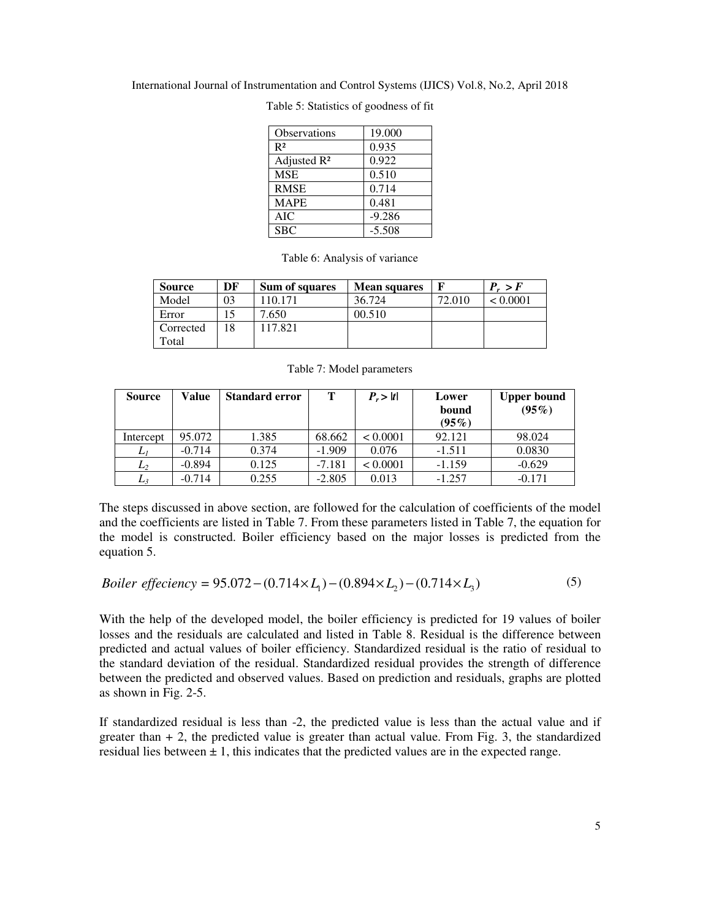| <b>Observations</b>     | 19.000   |
|-------------------------|----------|
| R <sup>2</sup>          | 0.935    |
| Adjusted $\mathbb{R}^2$ | 0.922    |
| <b>MSE</b>              | 0.510    |
| <b>RMSE</b>             | 0.714    |
| <b>MAPE</b>             | 0.481    |
| AIC                     | $-9.286$ |
| <b>SBC</b>              | $-5.508$ |

Table 5: Statistics of goodness of fit

Table 6: Analysis of variance

| <b>Source</b> | DF | Sum of squares | <b>Mean squares</b> |        | $\cdot$ > F |
|---------------|----|----------------|---------------------|--------|-------------|
| Model         | 03 | 10.171         | 36.724              | 72.010 | 0.0001 >    |
| Error         |    | .650           | 00.510              |        |             |
| Corrected     | 18 | 17.821         |                     |        |             |
| Total         |    |                |                     |        |             |

Table 7: Model parameters

| <b>Source</b>  | Value    | <b>Standard error</b> |          | $P_r >  t $ | Lower             | <b>Upper bound</b> |
|----------------|----------|-----------------------|----------|-------------|-------------------|--------------------|
|                |          |                       |          |             | bound<br>$(95\%)$ | $(95\%)$           |
| Intercept      | 95.072   | 1.385                 | 68.662   | < 0.0001    | 92.121            | 98.024             |
| L <sub>1</sub> | $-0.714$ | 0.374                 | $-1.909$ | 0.076       | $-1.511$          | 0.0830             |
| $L_2$          | $-0.894$ | 0.125                 | $-7.181$ | < 0.0001    | $-1.159$          | $-0.629$           |
| $L_3$          | $-0.714$ | 0.255                 | $-2.805$ | 0.013       | $-1.257$          | $-0.171$           |

The steps discussed in above section, are followed for the calculation of coefficients of the model and the coefficients are listed in Table 7. From these parameters listed in Table 7, the equation for the model is constructed. Boiler efficiency based on the major losses is predicted from the equation 5.

Boiler effeciency = 
$$
95.072 - (0.714 \times L_1) - (0.894 \times L_2) - (0.714 \times L_3)
$$
 (5)

With the help of the developed model, the boiler efficiency is predicted for 19 values of boiler losses and the residuals are calculated and listed in Table 8. Residual is the difference between predicted and actual values of boiler efficiency. Standardized residual is the ratio of residual to the standard deviation of the residual. Standardized residual provides the strength of difference between the predicted and observed values. Based on prediction and residuals, graphs are plotted as shown in Fig. 2-5.

If standardized residual is less than -2, the predicted value is less than the actual value and if greater than  $+ 2$ , the predicted value is greater than actual value. From Fig. 3, the standardized residual lies between  $\pm 1$ , this indicates that the predicted values are in the expected range.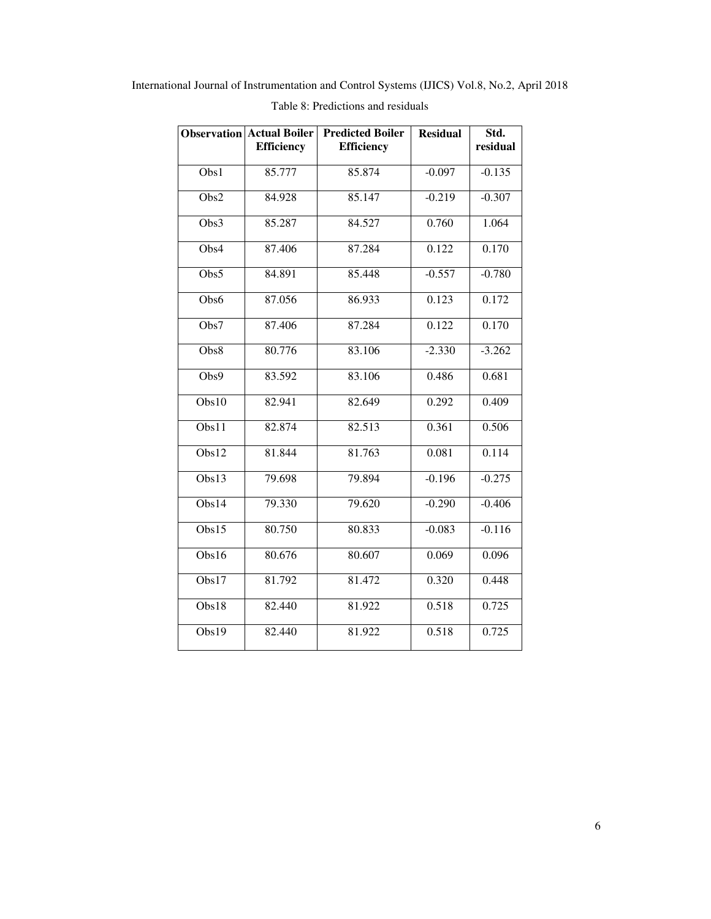|       | <b>Observation Actual Boiler</b><br><b>Efficiency</b> | <b>Predicted Boiler</b><br><b>Efficiency</b> | <b>Residual</b> | Std.<br>residual |
|-------|-------------------------------------------------------|----------------------------------------------|-----------------|------------------|
|       |                                                       |                                              |                 |                  |
| Obs1  | 85.777                                                | 85.874                                       | $-0.097$        | $-0.135$         |
| Obs2  | 84.928                                                | 85.147                                       | $-0.219$        | $-0.307$         |
| Obs3  | 85.287                                                | 84.527                                       | 0.760           | 1.064            |
| Obs4  | 87.406                                                | 87.284                                       | 0.122           | 0.170            |
| Obs5  | 84.891                                                | 85.448                                       | $-0.557$        | $-0.780$         |
| Obs6  | 87.056                                                | 86.933                                       | 0.123           | 0.172            |
| Obs7  | 87.406                                                | 87.284                                       | 0.122           | 0.170            |
| Obs8  | 80.776                                                | 83.106                                       | $-2.330$        | $-3.262$         |
| Obs9  | 83.592                                                | 83.106                                       | 0.486           | 0.681            |
| Obs10 | 82.941                                                | 82.649                                       | 0.292           | 0.409            |
| Obs11 | 82.874                                                | 82.513                                       | 0.361           | 0.506            |
| Obs12 | 81.844                                                | 81.763                                       | 0.081           | 0.114            |
| Obs13 | 79.698                                                | 79.894                                       | $-0.196$        | $-0.275$         |
| Obs14 | 79.330                                                | 79.620                                       | $-0.290$        | $-0.406$         |
| Obs15 | 80.750                                                | 80.833                                       | $-0.083$        | $-0.116$         |
| Obs16 | 80.676                                                | 80.607                                       | 0.069           | 0.096            |
| Obs17 | 81.792                                                | 81.472                                       | 0.320           | 0.448            |
| Obs18 | 82.440                                                | 81.922                                       | 0.518           | 0.725            |
| Obs19 | 82.440                                                | 81.922                                       | 0.518           | 0.725            |

Table 8: Predictions and residuals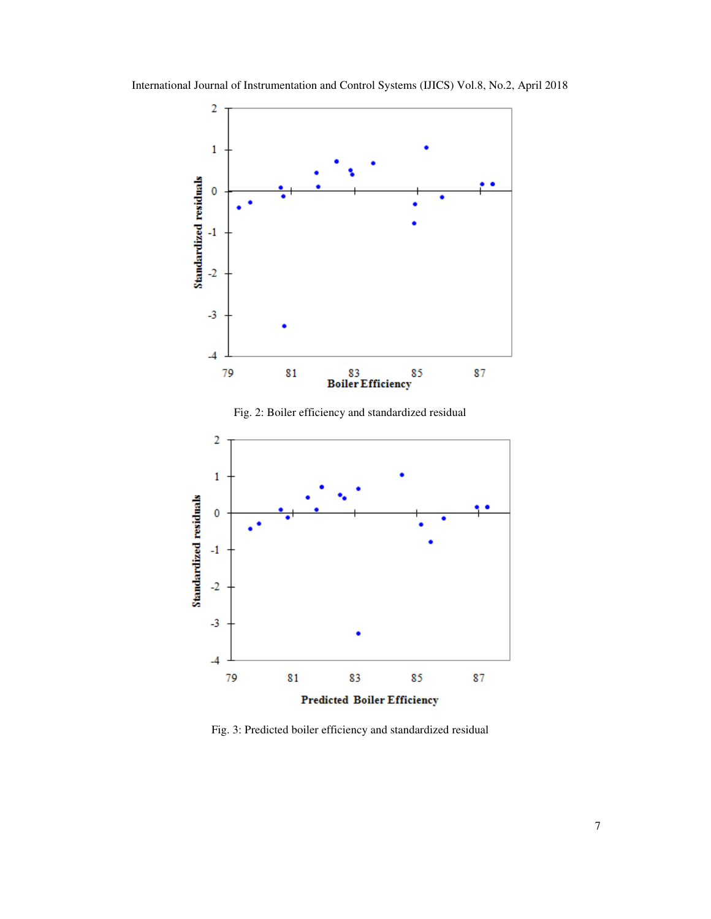



Fig. 2: Boiler efficiency and standardized residual



Fig. 3: Predicted boiler efficiency and standardized residual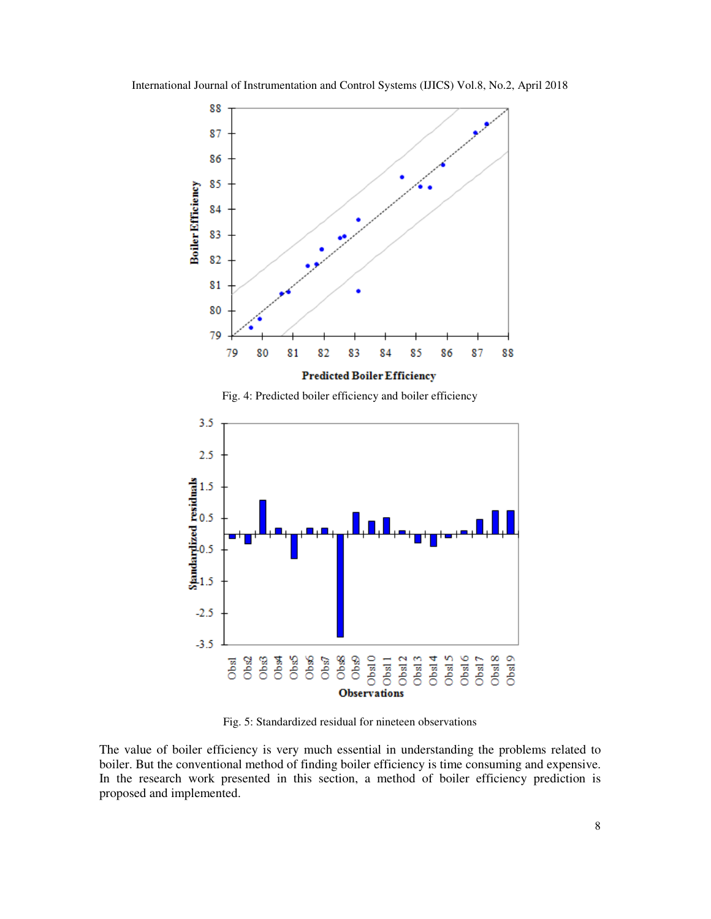International Journal of Instrumentation and Control Systems (IJICS) Vol.8, No.2, April 2018



Fig. 5: Standardized residual for nineteen observations

The value of boiler efficiency is very much essential in understanding the problems related to boiler. But the conventional method of finding boiler efficiency is time consuming and expensive. In the research work presented in this section, a method of boiler efficiency prediction is proposed and implemented.